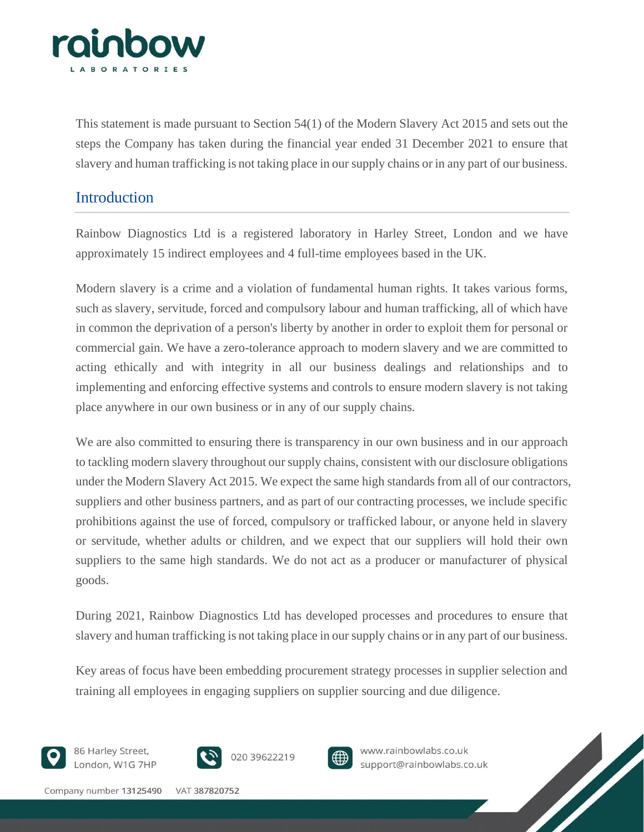

This statement is made pursuant to Section 54(1) of the Modern Slavery Act 2015 and sets out the steps the Company has taken during the financial year ended 31 December 2021 to ensure that slavery and human trafficking is not taking place in our supply chains or in any part of our business.

## Introduction

Rainbow Diagnostics Ltd is a registered laboratory in Harley Street, London and we have approximately 15 indirect employees and 4 full-time employees based in the UK.

Modern slavery is a crime and a violation of fundamental human rights. It takes various forms, such as slavery, servitude, forced and compulsory labour and human trafficking, all of which have in common the deprivation of a person's liberty by another in order to exploit them for personal or commercial gain. We have a zero-tolerance approach to modern slavery and we are committed to acting ethically and with integrity in all our business dealings and relationships and to implementing and enforcing effective systems and controls to ensure modern slavery is not taking place anywhere in our own business or in any of our supply chains.

We are also committed to ensuring there is transparency in our own business and in our approach to tackling modern slavery throughout our supply chains, consistent with our disclosure obligations under the Modern Slavery Act 2015. We expect the same high standards from all of our contractors, suppliers and other business partners, and as part of our contracting processes, we include specific prohibitions against the use of forced, compulsory or trafficked labour, or anyone held in slavery or servitude, whether adults or children, and we expect that our suppliers will hold their own suppliers to the same high standards. We do not act as a producer or manufacturer of physical goods.

During 2021, Rainbow Diagnostics Ltd has developed processes and procedures to ensure that slavery and human trafficking is not taking place in our supply chains or in any part of our business.

Key areas of focus have been embedding procurement strategy processes in supplier selection and training all employees in engaging suppliers on supplier sourcing and due diligence.



86 Harley Street, London, W1G 7HP







www.rainbowlabs.co.uk support@rainbowlabs.co.uk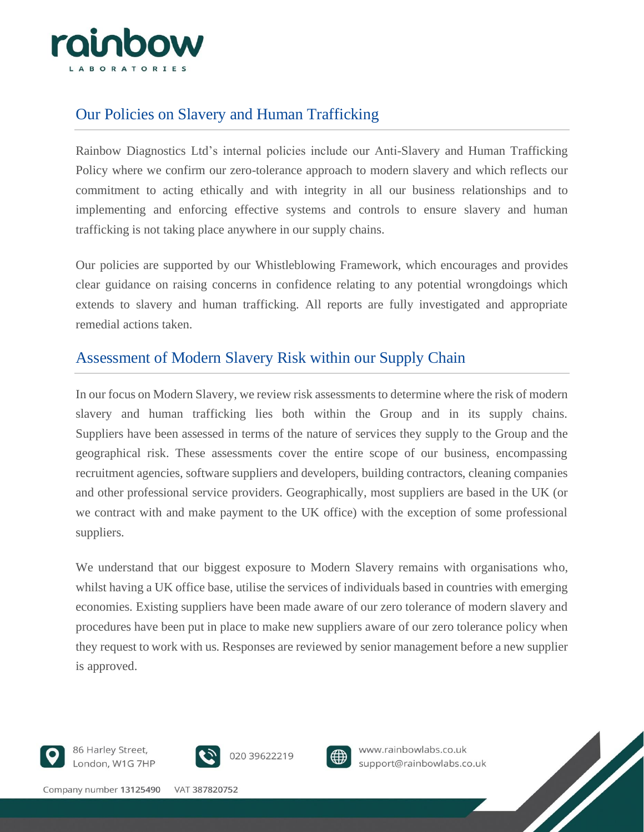

## Our Policies on Slavery and Human Trafficking

Rainbow Diagnostics Ltd's internal policies include our Anti-Slavery and Human Trafficking Policy where we confirm our zero-tolerance approach to modern slavery and which reflects our commitment to acting ethically and with integrity in all our business relationships and to implementing and enforcing effective systems and controls to ensure slavery and human trafficking is not taking place anywhere in our supply chains.

Our policies are supported by our Whistleblowing Framework, which encourages and provides clear guidance on raising concerns in confidence relating to any potential wrongdoings which extends to slavery and human trafficking. All reports are fully investigated and appropriate remedial actions taken.

## Assessment of Modern Slavery Risk within our Supply Chain

In our focus on Modern Slavery, we review risk assessments to determine where the risk of modern slavery and human trafficking lies both within the Group and in its supply chains. Suppliers have been assessed in terms of the nature of services they supply to the Group and the geographical risk. These assessments cover the entire scope of our business, encompassing recruitment agencies, software suppliers and developers, building contractors, cleaning companies and other professional service providers. Geographically, most suppliers are based in the UK (or we contract with and make payment to the UK office) with the exception of some professional suppliers.

We understand that our biggest exposure to Modern Slavery remains with organisations who, whilst having a UK office base, utilise the services of individuals based in countries with emerging economies. Existing suppliers have been made aware of our zero tolerance of modern slavery and procedures have been put in place to make new suppliers aware of our zero tolerance policy when they request to work with us. Responses are reviewed by senior management before a new supplier is approved.



86 Harley Street, London, W1G 7HP



020 39622219



www.rainbowlabs.co.uk support@rainbowlabs.co.uk

Company number 13125490 VAT 387820752